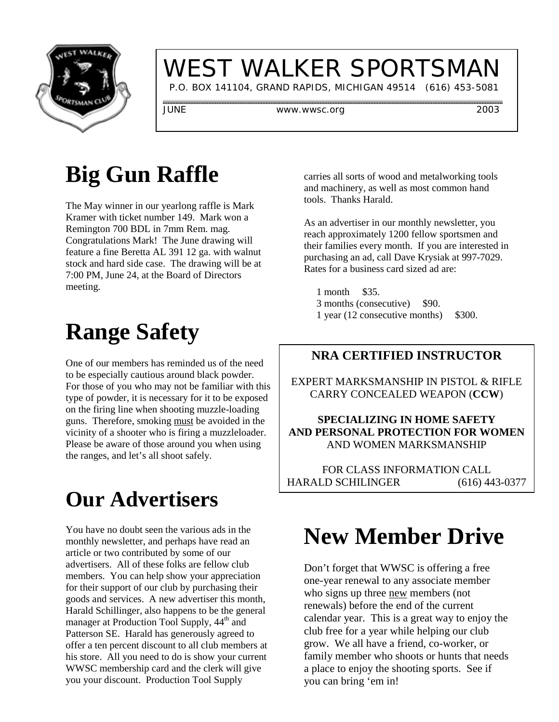

# WEST WALKER SPORTSMAN

P.O. BOX 141104, GRAND RAPIDS, MICHIGAN 49514 (616) 453-5081

JUNE www.wwsc.org 2003

# **Big Gun Raffle**

The May winner in our yearlong raffle is Mark Kramer with ticket number 149. Mark won a Remington 700 BDL in 7mm Rem. mag. Congratulations Mark! The June drawing will feature a fine Beretta AL 391 12 ga. with walnut stock and hard side case. The drawing will be at 7:00 PM, June 24, at the Board of Directors meeting.

## **Range Safety**

One of our members has reminded us of the need to be especially cautious around black powder. For those of you who may not be familiar with this type of powder, it is necessary for it to be exposed on the firing line when shooting muzzle-loading guns. Therefore, smoking must be avoided in the vicinity of a shooter who is firing a muzzleloader. Please be aware of those around you when using the ranges, and let's all shoot safely.

## **Our Advertisers**

You have no doubt seen the various ads in the monthly newsletter, and perhaps have read an article or two contributed by some of our advertisers. All of these folks are fellow club members. You can help show your appreciation for their support of our club by purchasing their goods and services. A new advertiser this month, Harald Schillinger, also happens to be the general manager at Production Tool Supply,  $44<sup>th</sup>$  and Patterson SE. Harald has generously agreed to offer a ten percent discount to all club members at his store. All you need to do is show your current WWSC membership card and the clerk will give you your discount. Production Tool Supply

carries all sorts of wood and metalworking tools and machinery, as well as most common hand tools. Thanks Harald.

As an advertiser in our monthly newsletter, you reach approximately 1200 fellow sportsmen and their families every month. If you are interested in purchasing an ad, call Dave Krysiak at 997-7029. Rates for a business card sized ad are:

 1 month \$35. 3 months (consecutive) \$90. 1 year (12 consecutive months) \$300.

#### **NRA CERTIFIED INSTRUCTOR**

EXPERT MARKSMANSHIP IN PISTOL & RIFLE CARRY CONCEALED WEAPON (**CCW**)

**SPECIALIZING IN HOME SAFETY AND PERSONAL PROTECTION FOR WOMEN** AND WOMEN MARKSMANSHIP

FOR CLASS INFORMATION CALL HARALD SCHILINGER (616) 443-0377

#### **New Member Drive**

Don't forget that WWSC is offering a free one-year renewal to any associate member who signs up three new members (not renewals) before the end of the current calendar year. This is a great way to enjoy the club free for a year while helping our club grow. We all have a friend, co-worker, or family member who shoots or hunts that needs a place to enjoy the shooting sports. See if you can bring 'em in!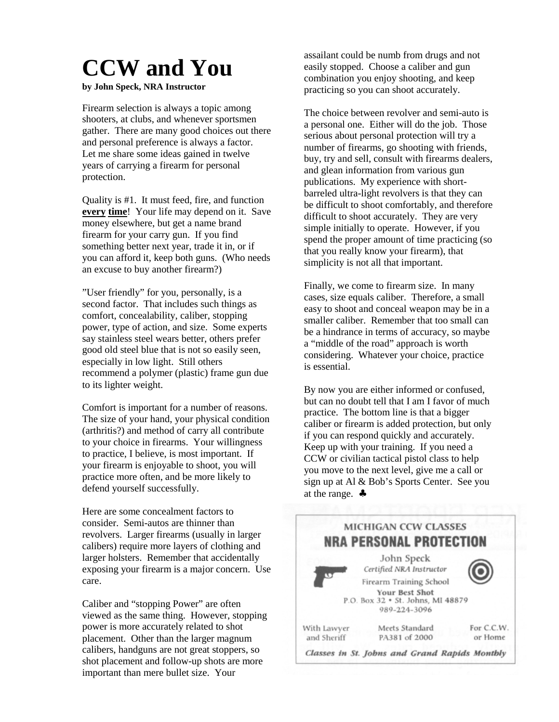## **CCW and You**

#### **by John Speck, NRA Instructor**

Firearm selection is always a topic among shooters, at clubs, and whenever sportsmen gather. There are many good choices out there and personal preference is always a factor. Let me share some ideas gained in twelve years of carrying a firearm for personal protection.

Quality is #1. It must feed, fire, and function **every time**!Your life may depend on it. Save money elsewhere, but get a name brand firearm for your carry gun. If you find something better next year, trade it in, or if you can afford it, keep both guns. (Who needs an excuse to buy another firearm?)

"User friendly" for you, personally, is a second factor. That includes such things as comfort, concealability, caliber, stopping power, type of action, and size. Some experts say stainless steel wears better, others prefer good old steel blue that is not so easily seen, especially in low light. Still others recommend a polymer (plastic) frame gun due to its lighter weight.

Comfort is important for a number of reasons. The size of your hand, your physical condition (arthritis?) and method of carry all contribute to your choice in firearms. Your willingness to practice, I believe, is most important. If your firearm is enjoyable to shoot, you will practice more often, and be more likely to defend yourself successfully.

Here are some concealment factors to consider. Semi-autos are thinner than revolvers. Larger firearms (usually in larger calibers) require more layers of clothing and larger holsters. Remember that accidentally exposing your firearm is a major concern. Use care.

Caliber and "stopping Power" are often viewed as the same thing. However, stopping power is more accurately related to shot placement. Other than the larger magnum calibers, handguns are not great stoppers, so shot placement and follow-up shots are more important than mere bullet size. Your

assailant could be numb from drugs and not easily stopped. Choose a caliber and gun combination you enjoy shooting, and keep practicing so you can shoot accurately.

The choice between revolver and semi-auto is a personal one. Either will do the job. Those serious about personal protection will try a number of firearms, go shooting with friends, buy, try and sell, consult with firearms dealers, and glean information from various gun publications. My experience with shortbarreled ultra-light revolvers is that they can be difficult to shoot comfortably, and therefore difficult to shoot accurately. They are very simple initially to operate. However, if you spend the proper amount of time practicing (so that you really know your firearm), that simplicity is not all that important.

Finally, we come to firearm size. In many cases, size equals caliber. Therefore, a small easy to shoot and conceal weapon may be in a smaller caliber. Remember that too small can be a hindrance in terms of accuracy, so maybe a "middle of the road" approach is worth considering. Whatever your choice, practice is essential.

By now you are either informed or confused, but can no doubt tell that I am I favor of much practice. The bottom line is that a bigger caliber or firearm is added protection, but only if you can respond quickly and accurately. Keep up with your training. If you need a CCW or civilian tactical pistol class to help you move to the next level, give me a call or sign up at Al & Bob's Sports Center. See you at the range. ♣

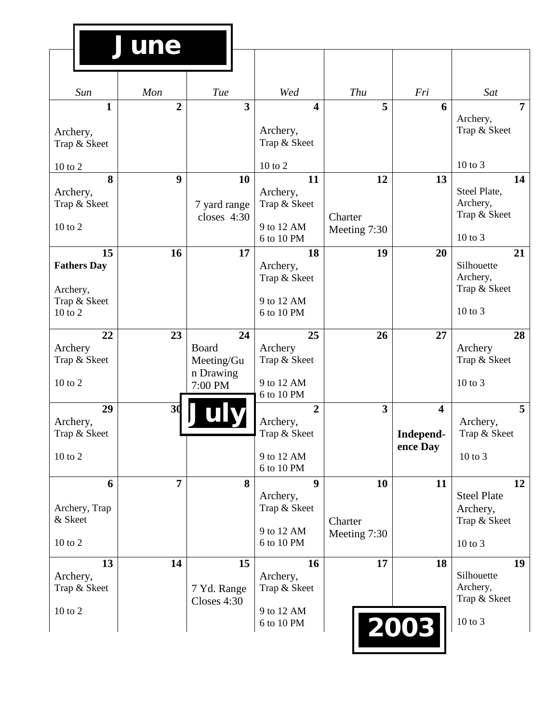# **June**

| Sun                                                             | Mon            | Tue                                               | Wed                                                                      | <b>Thu</b>                    | Fri                                              | Sat                                                                 |
|-----------------------------------------------------------------|----------------|---------------------------------------------------|--------------------------------------------------------------------------|-------------------------------|--------------------------------------------------|---------------------------------------------------------------------|
| $\mathbf{1}$<br>Archery,<br>Trap & Skeet                        | $\overline{2}$ | $\overline{\mathbf{3}}$                           | $\overline{\mathbf{4}}$<br>Archery,<br>Trap & Skeet                      | 5                             | 6                                                | $\overline{7}$<br>Archery,<br>Trap & Skeet                          |
| 10 to 2                                                         |                |                                                   | $10$ to $2$                                                              |                               |                                                  | $10$ to $3$                                                         |
| 8<br>Archery,<br>Trap & Skeet<br>10 to 2                        | 9              | 10<br>7 yard range<br>closes $4:30$               | 11<br>Archery,<br>Trap & Skeet<br>9 to 12 AM<br>6 to 10 PM               | 12<br>Charter<br>Meeting 7:30 | 13                                               | 14<br>Steel Plate,<br>Archery,<br>Trap & Skeet<br>$10$ to $3$       |
| 15<br><b>Fathers Day</b><br>Archery,<br>Trap & Skeet<br>10 to 2 | 16             | 17                                                | 18<br>Archery,<br>Trap & Skeet<br>9 to 12 AM<br>6 to 10 PM               | 19                            | 20                                               | 21<br>Silhouette<br>Archery,<br>Trap & Skeet<br>$10$ to $3$         |
| 22<br>Archery<br>Trap & Skeet<br>$10$ to $2$                    | 23             | 24<br>Board<br>Meeting/Gu<br>n Drawing<br>7:00 PM | 25<br>Archery<br>Trap & Skeet<br>9 to 12 AM<br>6 to 10 PM                | 26                            | 27                                               | 28<br>Archery<br>Trap & Skeet<br>$10$ to $3$                        |
| 29<br>Archery,<br>Trap & Skeet<br>$10$ to $2$                   | 30             |                                                   | $\overline{2}$<br>Archery,<br>Trap & Skeet<br>9 to 12 AM<br>6 to 10 PM   | $\overline{\mathbf{3}}$       | $\overline{\mathbf{4}}$<br>Independ-<br>ence Day | 5<br>Archery,<br>Trap & Skeet<br>10 to 3                            |
| 6<br>Archery, Trap<br>& Skeet<br>$10$ to $2$                    | $\overline{7}$ | 8                                                 | $\boldsymbol{9}$<br>Archery,<br>Trap & Skeet<br>9 to 12 AM<br>6 to 10 PM | 10<br>Charter<br>Meeting 7:30 | 11                                               | 12<br><b>Steel Plate</b><br>Archery,<br>Trap & Skeet<br>$10$ to $3$ |
| 13<br>Archery,<br>Trap & Skeet<br>10 to 2                       | 14             | 15<br>7 Yd. Range<br>Closes 4:30                  | 16<br>Archery,<br>Trap & Skeet<br>9 to 12 AM<br>6 to 10 PM               | 17                            | 18<br>2003                                       | 19<br>Silhouette<br>Archery,<br>Trap & Skeet<br>$10$ to $3$         |